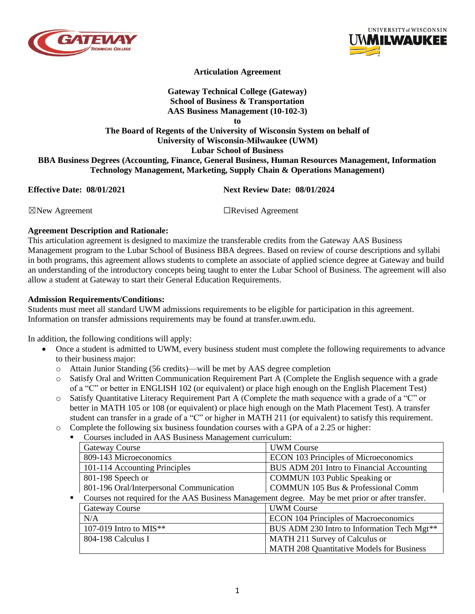



## **Articulation Agreement**

# **Gateway Technical College (Gateway) School of Business & Transportation AAS Business Management (10-102-3)**

**to**

## **The Board of Regents of the University of Wisconsin System on behalf of University of Wisconsin-Milwaukee (UWM) Lubar School of Business BBA Business Degrees (Accounting, Finance, General Business, Human Resources Management, Information**

**Technology Management, Marketing, Supply Chain & Operations Management)**

**Effective Date: 08/01/2021 Next Review Date: 08/01/2024**

☒New Agreement ☐Revised Agreement

### **Agreement Description and Rationale:**

This articulation agreement is designed to maximize the transferable credits from the Gateway AAS Business Management program to the Lubar School of Business BBA degrees. Based on review of course descriptions and syllabi in both programs, this agreement allows students to complete an associate of applied science degree at Gateway and build an understanding of the introductory concepts being taught to enter the Lubar School of Business. The agreement will also allow a student at Gateway to start their General Education Requirements.

### **Admission Requirements/Conditions:**

Students must meet all standard UWM admissions requirements to be eligible for participation in this agreement. Information on transfer admissions requirements may be found at transfer.uwm.edu.

In addition, the following conditions will apply:

- Once a student is admitted to UWM, every business student must complete the following requirements to advance to their business major:
	- o Attain Junior Standing (56 credits)—will be met by AAS degree completion
	- o Satisfy Oral and Written Communication Requirement Part A (Complete the English sequence with a grade of a "C" or better in ENGLISH 102 (or equivalent) or place high enough on the English Placement Test)
	- o Satisfy Quantitative Literacy Requirement Part A (Complete the math sequence with a grade of a "C" or better in MATH 105 or 108 (or equivalent) or place high enough on the Math Placement Test). A transfer student can transfer in a grade of a "C" or higher in MATH 211 (or equivalent) to satisfy this requirement.
	- o Complete the following six business foundation courses with a GPA of a 2.25 or higher:
		- Courses included in AAS Business Management curriculum:

| <b>Gateway Course</b>                                                                            | <b>UWM</b> Course                                       |
|--------------------------------------------------------------------------------------------------|---------------------------------------------------------|
| 809-143 Microeconomics                                                                           | ECON 103 Principles of Microeconomics                   |
| 101-114 Accounting Principles                                                                    | BUS ADM 201 Intro to Financial Accounting               |
| 801-198 Speech or                                                                                | COMMUN 103 Public Speaking or                           |
| 801-196 Oral/Interpersonal Communication                                                         | <b>COMMUN 105 Bus &amp; Professional Comm</b>           |
| Courses not required for the AAS Business Management degree. May be met prior or after transfer. |                                                         |
| <b>Gateway Course</b>                                                                            | <b>UWM Course</b>                                       |
| N/A                                                                                              | <b>ECON 104 Principles of Macroeconomics</b>            |
| 107-019 Intro to MIS**                                                                           | BUS ADM 230 Intro to Information Tech Mgt <sup>**</sup> |
| 804-198 Calculus I                                                                               | MATH 211 Survey of Calculus or                          |
|                                                                                                  | MATH 208 Quantitative Models for Business               |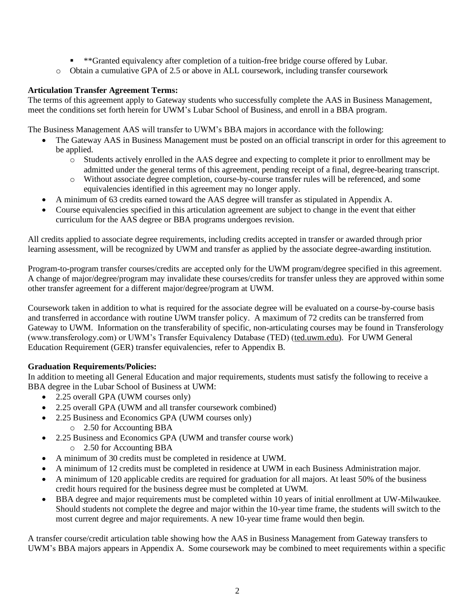- \*\*Granted equivalency after completion of a tuition-free bridge course offered by Lubar.
- o Obtain a cumulative GPA of 2.5 or above in ALL coursework, including transfer coursework

## **Articulation Transfer Agreement Terms:**

The terms of this agreement apply to Gateway students who successfully complete the AAS in Business Management, meet the conditions set forth herein for UWM's Lubar School of Business, and enroll in a BBA program.

The Business Management AAS will transfer to UWM's BBA majors in accordance with the following:

- The Gateway AAS in Business Management must be posted on an official transcript in order for this agreement to be applied.
	- o Students actively enrolled in the AAS degree and expecting to complete it prior to enrollment may be admitted under the general terms of this agreement, pending receipt of a final, degree-bearing transcript.
	- o Without associate degree completion, course-by-course transfer rules will be referenced, and some equivalencies identified in this agreement may no longer apply.
- A minimum of 63 credits earned toward the AAS degree will transfer as stipulated in Appendix A.
- Course equivalencies specified in this articulation agreement are subject to change in the event that either curriculum for the AAS degree or BBA programs undergoes revision.

All credits applied to associate degree requirements, including credits accepted in transfer or awarded through prior learning assessment, will be recognized by UWM and transfer as applied by the associate degree-awarding institution.

Program-to-program transfer courses/credits are accepted only for the UWM program/degree specified in this agreement. A change of major/degree/program may invalidate these courses/credits for transfer unless they are approved within some other transfer agreement for a different major/degree/program at UWM.

Coursework taken in addition to what is required for the associate degree will be evaluated on a course-by-course basis and transferred in accordance with routine UWM transfer policy. A maximum of 72 credits can be transferred from Gateway to UWM. Information on the transferability of specific, non-articulating courses may be found in Transferology (www.transferology.com) or UWM's Transfer Equivalency Database (TED) (ted.uwm.edu). For UWM General Education Requirement (GER) transfer equivalencies, refer to Appendix B.

# **Graduation Requirements/Policies:**

In addition to meeting all General Education and major requirements, students must satisfy the following to receive a BBA degree in the Lubar School of Business at UWM:

- 2.25 overall GPA (UWM courses only)
- 2.25 overall GPA (UWM and all transfer coursework combined)
- 2.25 Business and Economics GPA (UWM courses only)
	- o 2.50 for Accounting BBA
- 2.25 Business and Economics GPA (UWM and transfer course work)
	- o 2.50 for Accounting BBA
- A minimum of 30 credits must be completed in residence at UWM.
- A minimum of 12 credits must be completed in residence at UWM in each Business Administration major.
- A minimum of 120 applicable credits are required for graduation for all majors. At least 50% of the business credit hours required for the business degree must be completed at UWM.
- BBA degree and major requirements must be completed within 10 years of initial enrollment at UW-Milwaukee. Should students not complete the degree and major within the 10-year time frame, the students will switch to the most current degree and major requirements. A new 10-year time frame would then begin.

A transfer course/credit articulation table showing how the AAS in Business Management from Gateway transfers to UWM's BBA majors appears in Appendix A. Some coursework may be combined to meet requirements within a specific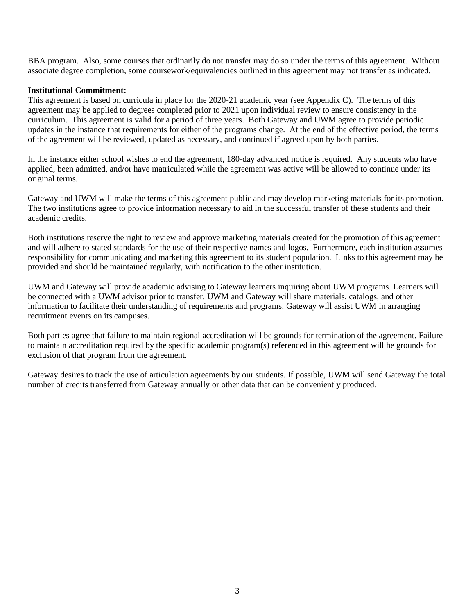BBA program. Also, some courses that ordinarily do not transfer may do so under the terms of this agreement. Without associate degree completion, some coursework/equivalencies outlined in this agreement may not transfer as indicated.

### **Institutional Commitment:**

This agreement is based on curricula in place for the 2020-21 academic year (see Appendix C). The terms of this agreement may be applied to degrees completed prior to 2021 upon individual review to ensure consistency in the curriculum. This agreement is valid for a period of three years. Both Gateway and UWM agree to provide periodic updates in the instance that requirements for either of the programs change. At the end of the effective period, the terms of the agreement will be reviewed, updated as necessary, and continued if agreed upon by both parties.

In the instance either school wishes to end the agreement, 180-day advanced notice is required. Any students who have applied, been admitted, and/or have matriculated while the agreement was active will be allowed to continue under its original terms.

Gateway and UWM will make the terms of this agreement public and may develop marketing materials for its promotion. The two institutions agree to provide information necessary to aid in the successful transfer of these students and their academic credits.

Both institutions reserve the right to review and approve marketing materials created for the promotion of this agreement and will adhere to stated standards for the use of their respective names and logos. Furthermore, each institution assumes responsibility for communicating and marketing this agreement to its student population. Links to this agreement may be provided and should be maintained regularly, with notification to the other institution.

UWM and Gateway will provide academic advising to Gateway learners inquiring about UWM programs. Learners will be connected with a UWM advisor prior to transfer. UWM and Gateway will share materials, catalogs, and other information to facilitate their understanding of requirements and programs. Gateway will assist UWM in arranging recruitment events on its campuses.

Both parties agree that failure to maintain regional accreditation will be grounds for termination of the agreement. Failure to maintain accreditation required by the specific academic program(s) referenced in this agreement will be grounds for exclusion of that program from the agreement.

Gateway desires to track the use of articulation agreements by our students. If possible, UWM will send Gateway the total number of credits transferred from Gateway annually or other data that can be conveniently produced.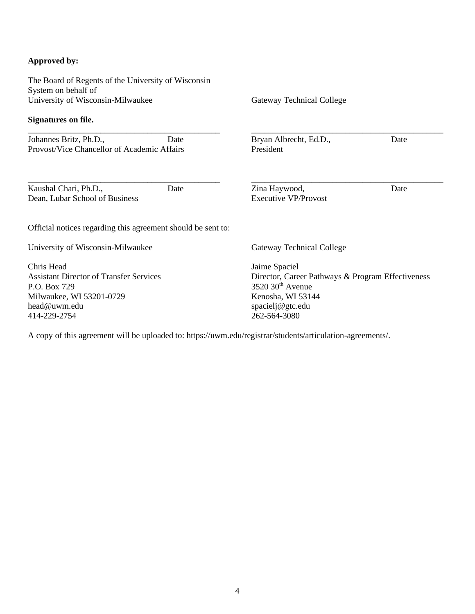### **Approved by:**

The Board of Regents of the University of Wisconsin System on behalf of University of Wisconsin-Milwaukee **Signatures on file.** \_\_\_\_\_\_\_\_\_\_\_\_\_\_\_\_\_\_\_\_\_\_\_\_\_\_\_\_\_\_\_\_\_\_\_\_\_\_\_\_\_\_\_\_\_ Johannes Britz, Ph.D., Date Provost/Vice Chancellor of Academic Affairs \_\_\_\_\_\_\_\_\_\_\_\_\_\_\_\_\_\_\_\_\_\_\_\_\_\_\_\_\_\_\_\_\_\_\_\_\_\_\_\_\_\_\_\_\_ Kaushal Chari, Ph.D., Date Dean, Lubar School of Business Gateway Technical College \_\_\_\_\_\_\_\_\_\_\_\_\_\_\_\_\_\_\_\_\_\_\_\_\_\_\_\_\_\_\_\_\_\_\_\_\_\_\_\_\_\_\_\_\_ Bryan Albrecht, Ed.D., Date President \_\_\_\_\_\_\_\_\_\_\_\_\_\_\_\_\_\_\_\_\_\_\_\_\_\_\_\_\_\_\_\_\_\_\_\_\_\_\_\_\_\_\_\_\_ Zina Haywood, Date Executive VP/Provost Official notices regarding this agreement should be sent to: University of Wisconsin-Milwaukee Chris Head Assistant Director of Transfer Services P.O. Box 729 Milwaukee, WI 53201-0729 head@uwm.edu 414-229-2754 Gateway Technical College Jaime Spaciel Director, Career Pathways & Program Effectiveness  $3520$   $30<sup>th</sup>$  Avenue Kenosha, WI 53144 spacielj@gtc.edu 262-564-3080

A copy of this agreement will be uploaded to: https://uwm.edu/registrar/students/articulation-agreements/.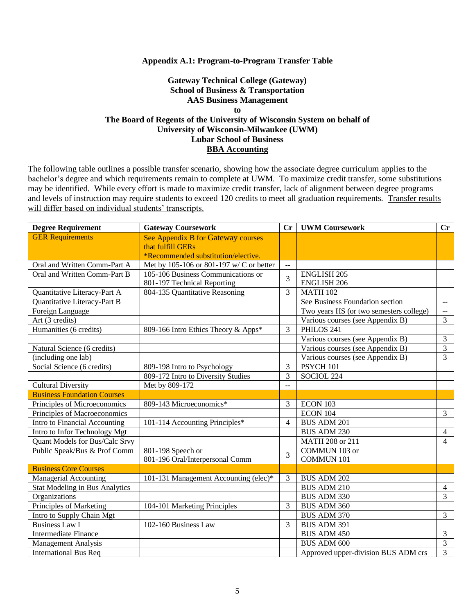#### **Appendix A.1: Program-to-Program Transfer Table**

### **Gateway Technical College (Gateway) School of Business & Transportation AAS Business Management to The Board of Regents of the University of Wisconsin System on behalf of University of Wisconsin-Milwaukee (UWM) Lubar School of Business BBA Accounting**

| <b>Degree Requirement</b>             | <b>Gateway Coursework</b>                | Cr             | <b>UWM Coursework</b>                   | Cr             |
|---------------------------------------|------------------------------------------|----------------|-----------------------------------------|----------------|
| <b>GER Requirements</b>               | See Appendix B for Gateway courses       |                |                                         |                |
|                                       | that fulfill GERs                        |                |                                         |                |
|                                       | *Recommended substitution/elective.      |                |                                         |                |
| Oral and Written Comm-Part A          | Met by 105-106 or 801-197 w/ C or better | $\sim$ $\sim$  |                                         |                |
| Oral and Written Comm-Part B          | 105-106 Business Communications or       | 3              | <b>ENGLISH 205</b>                      |                |
|                                       | 801-197 Technical Reporting              |                | <b>ENGLISH 206</b>                      |                |
| Quantitative Literacy-Part A          | 804-135 Quantitative Reasoning           | 3              | <b>MATH 102</b>                         |                |
| Quantitative Literacy-Part B          |                                          |                | See Business Foundation section         | $\sim$ $\sim$  |
| Foreign Language                      |                                          |                | Two years HS (or two semesters college) | $\sim$ $\sim$  |
| Art (3 credits)                       |                                          |                | Various courses (see Appendix B)        | $\overline{3}$ |
| Humanities (6 credits)                | 809-166 Intro Ethics Theory & Apps*      | 3              | PHILOS 241                              |                |
|                                       |                                          |                | Various courses (see Appendix B)        | 3              |
| Natural Science (6 credits)           |                                          |                | Various courses (see Appendix B)        | 3              |
| (including one lab)                   |                                          |                | Various courses (see Appendix B)        | $\overline{3}$ |
| Social Science (6 credits)            | 809-198 Intro to Psychology              | 3              | PSYCH 101                               |                |
|                                       | 809-172 Intro to Diversity Studies       | 3              | SOCIOL 224                              |                |
| <b>Cultural Diversity</b>             | Met by 809-172                           | $\overline{a}$ |                                         |                |
| <b>Business Foundation Courses</b>    |                                          |                |                                         |                |
| Principles of Microeconomics          | 809-143 Microeconomics*                  | 3              | ECON 103                                |                |
| Principles of Macroeconomics          |                                          |                | ECON 104                                | $\overline{3}$ |
| Intro to Financial Accounting         | 101-114 Accounting Principles*           | $\overline{4}$ | <b>BUS ADM 201</b>                      |                |
| Intro to Infor Technology Mgt         |                                          |                | <b>BUS ADM 230</b>                      | $\overline{4}$ |
| Quant Models for Bus/Calc Srvy        |                                          |                | MATH 208 or 211                         | $\overline{4}$ |
| Public Speak/Bus & Prof Comm          | 801-198 Speech or                        | 3              | COMMUN 103 or                           |                |
|                                       | 801-196 Oral/Interpersonal Comm          |                | <b>COMMUN 101</b>                       |                |
| <b>Business Core Courses</b>          |                                          |                |                                         |                |
| Managerial Accounting                 | 101-131 Management Accounting (elec)*    | 3              | <b>BUS ADM 202</b>                      |                |
| <b>Stat Modeling in Bus Analytics</b> |                                          |                | <b>BUS ADM 210</b>                      | 4              |
| Organizations                         |                                          |                | BUS ADM 330                             | $\overline{3}$ |
| Principles of Marketing               | 104-101 Marketing Principles             | 3              | BUS ADM 360                             |                |
| Intro to Supply Chain Mgt             |                                          |                | <b>BUS ADM 370</b>                      | 3              |
| <b>Business Law I</b>                 | 102-160 Business Law                     | 3              | <b>BUS ADM 391</b>                      |                |
| <b>Intermediate Finance</b>           |                                          |                | <b>BUS ADM 450</b>                      | 3              |
| <b>Management Analysis</b>            |                                          |                | <b>BUS ADM 600</b>                      | 3              |
| <b>International Bus Req</b>          |                                          |                | Approved upper-division BUS ADM crs     | 3              |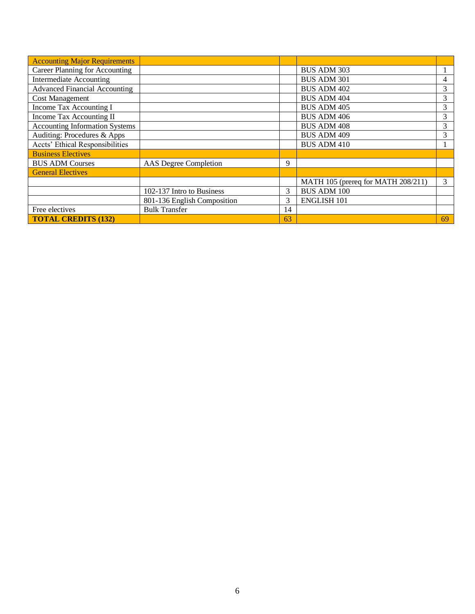| <b>Accounting Major Requirements</b>  |                              |    |                                    |    |
|---------------------------------------|------------------------------|----|------------------------------------|----|
| <b>Career Planning for Accounting</b> |                              |    | <b>BUS ADM 303</b>                 |    |
| Intermediate Accounting               |                              |    | <b>BUS ADM 301</b>                 | 4  |
| <b>Advanced Financial Accounting</b>  |                              |    | <b>BUS ADM 402</b>                 | 3  |
| <b>Cost Management</b>                |                              |    | <b>BUS ADM 404</b>                 | 3  |
| Income Tax Accounting I               |                              |    | <b>BUS ADM 405</b>                 | 3  |
| Income Tax Accounting II              |                              |    | <b>BUS ADM 406</b>                 | 3  |
| <b>Accounting Information Systems</b> |                              |    | <b>BUS ADM 408</b>                 | 3  |
| Auditing: Procedures & Apps           |                              |    | <b>BUS ADM 409</b>                 | 3  |
| Accts' Ethical Responsibilities       |                              |    | <b>BUS ADM 410</b>                 |    |
| <b>Business Electives</b>             |                              |    |                                    |    |
| <b>BUS ADM Courses</b>                | <b>AAS</b> Degree Completion | 9  |                                    |    |
| <b>General Electives</b>              |                              |    |                                    |    |
|                                       |                              |    | MATH 105 (prereq for MATH 208/211) | 3  |
|                                       | 102-137 Intro to Business    | 3  | <b>BUS ADM 100</b>                 |    |
|                                       | 801-136 English Composition  | 3  | <b>ENGLISH 101</b>                 |    |
| Free electives                        | <b>Bulk Transfer</b>         | 14 |                                    |    |
| <b>TOTAL CREDITS (132)</b>            |                              | 63 |                                    | 69 |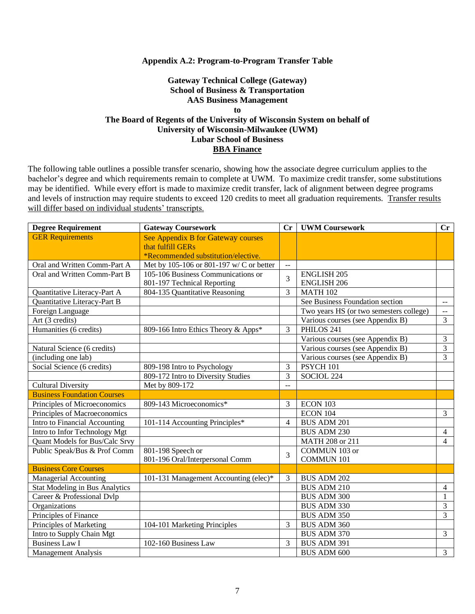#### **Appendix A.2: Program-to-Program Transfer Table**

### **Gateway Technical College (Gateway) School of Business & Transportation AAS Business Management to The Board of Regents of the University of Wisconsin System on behalf of University of Wisconsin-Milwaukee (UWM) Lubar School of Business BBA Finance**

| <b>Degree Requirement</b>             | <b>Gateway Coursework</b>                | Cr                       | <b>UWM Coursework</b>                   | Cr                      |
|---------------------------------------|------------------------------------------|--------------------------|-----------------------------------------|-------------------------|
| <b>GER Requirements</b>               | See Appendix B for Gateway courses       |                          |                                         |                         |
|                                       | that fulfill GERs                        |                          |                                         |                         |
|                                       | *Recommended substitution/elective.      |                          |                                         |                         |
| Oral and Written Comm-Part A          | Met by 105-106 or 801-197 w/ C or better | $\mathbb{L}$ .           |                                         |                         |
| Oral and Written Comm-Part B          | 105-106 Business Communications or       | 3                        | <b>ENGLISH 205</b>                      |                         |
|                                       | 801-197 Technical Reporting              |                          | <b>ENGLISH 206</b>                      |                         |
| Quantitative Literacy-Part A          | 804-135 Quantitative Reasoning           | 3                        | <b>MATH 102</b>                         |                         |
| Quantitative Literacy-Part B          |                                          |                          | See Business Foundation section         | $\sim$ $-$              |
| Foreign Language                      |                                          |                          | Two years HS (or two semesters college) | $\mathbb{L} \mathbb{L}$ |
| Art (3 credits)                       |                                          |                          | Various courses (see Appendix B)        | $\overline{3}$          |
| Humanities (6 credits)                | 809-166 Intro Ethics Theory & Apps*      | 3                        | PHILOS 241                              |                         |
|                                       |                                          |                          | Various courses (see Appendix B)        | 3                       |
| Natural Science (6 credits)           |                                          |                          | Various courses (see Appendix B)        | $\overline{3}$          |
| (including one lab)                   |                                          |                          | Various courses (see Appendix B)        | 3                       |
| Social Science (6 credits)            | 809-198 Intro to Psychology              | 3                        | PSYCH 101                               |                         |
|                                       | 809-172 Intro to Diversity Studies       | 3                        | SOCIOL 224                              |                         |
| <b>Cultural Diversity</b>             | Met by 809-172                           | $\sim$                   |                                         |                         |
| <b>Business Foundation Courses</b>    |                                          |                          |                                         |                         |
| Principles of Microeconomics          | 809-143 Microeconomics*                  | 3                        | ECON 103                                |                         |
| Principles of Macroeconomics          |                                          |                          | <b>ECON 104</b>                         | $\overline{3}$          |
| Intro to Financial Accounting         | 101-114 Accounting Principles*           | $\overline{\mathcal{L}}$ | <b>BUS ADM 201</b>                      |                         |
| Intro to Infor Technology Mgt         |                                          |                          | <b>BUS ADM 230</b>                      | $\overline{4}$          |
| Quant Models for Bus/Calc Srvy        |                                          |                          | MATH 208 or 211                         | $\overline{4}$          |
| Public Speak/Bus & Prof Comm          | 801-198 Speech or                        | 3                        | COMMUN 103 or                           |                         |
|                                       | 801-196 Oral/Interpersonal Comm          |                          | <b>COMMUN 101</b>                       |                         |
| <b>Business Core Courses</b>          |                                          |                          |                                         |                         |
| <b>Managerial Accounting</b>          | 101-131 Management Accounting (elec)*    | 3                        | <b>BUS ADM 202</b>                      |                         |
| <b>Stat Modeling in Bus Analytics</b> |                                          |                          | <b>BUS ADM 210</b>                      | $\overline{4}$          |
| Career & Professional Dvlp            |                                          |                          | <b>BUS ADM 300</b>                      | 1                       |
| Organizations                         |                                          |                          | <b>BUS ADM 330</b>                      | $\overline{3}$          |
| Principles of Finance                 |                                          |                          | <b>BUS ADM 350</b>                      | $\overline{3}$          |
| Principles of Marketing               | 104-101 Marketing Principles             | 3                        | BUS ADM 360                             |                         |
| Intro to Supply Chain Mgt             |                                          |                          | BUS ADM 370                             | 3                       |
| <b>Business Law I</b>                 | 102-160 Business Law                     | 3                        | BUS ADM 391                             |                         |
| <b>Management Analysis</b>            |                                          |                          | <b>BUS ADM 600</b>                      | $\overline{3}$          |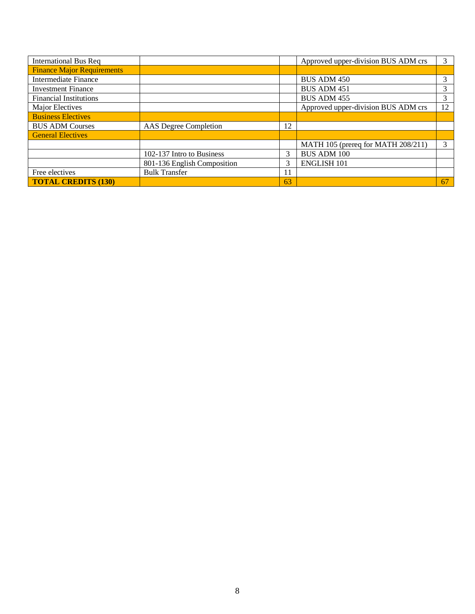| <b>International Bus Req</b>      |                             |    | Approved upper-division BUS ADM crs | 3  |
|-----------------------------------|-----------------------------|----|-------------------------------------|----|
| <b>Finance Major Requirements</b> |                             |    |                                     |    |
| Intermediate Finance              |                             |    | <b>BUS ADM 450</b>                  | 3  |
| <b>Investment Finance</b>         |                             |    | <b>BUS ADM 451</b>                  |    |
| <b>Financial Institutions</b>     |                             |    | <b>BUS ADM 455</b>                  | 3  |
| Major Electives                   |                             |    | Approved upper-division BUS ADM crs | 12 |
| <b>Business Electives</b>         |                             |    |                                     |    |
| <b>BUS ADM Courses</b>            | AAS Degree Completion       | 12 |                                     |    |
| <b>General Electives</b>          |                             |    |                                     |    |
|                                   |                             |    | MATH 105 (prereq for MATH 208/211)  | 3  |
|                                   | 102-137 Intro to Business   | 3  | <b>BUS ADM 100</b>                  |    |
|                                   | 801-136 English Composition | 3  | <b>ENGLISH 101</b>                  |    |
| Free electives                    | <b>Bulk Transfer</b>        | 11 |                                     |    |
| <b>TOTAL CREDITS (130)</b>        |                             | 63 |                                     | 67 |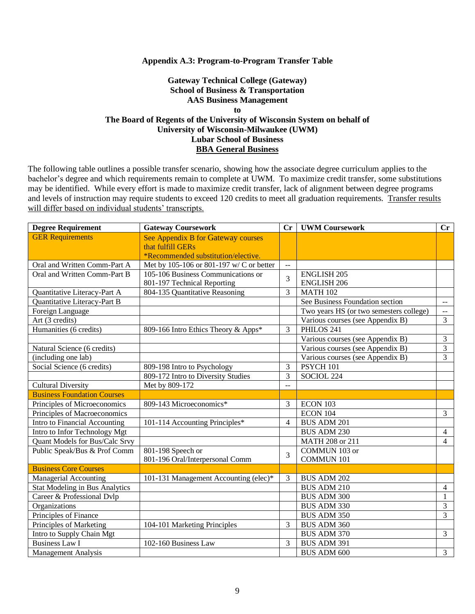#### **Appendix A.3: Program-to-Program Transfer Table**

### **Gateway Technical College (Gateway) School of Business & Transportation AAS Business Management to The Board of Regents of the University of Wisconsin System on behalf of University of Wisconsin-Milwaukee (UWM) Lubar School of Business BBA General Business**

| <b>Degree Requirement</b>             | <b>Gateway Coursework</b>                | Cr                       | <b>UWM Coursework</b>                   | Cr                      |
|---------------------------------------|------------------------------------------|--------------------------|-----------------------------------------|-------------------------|
| <b>GER Requirements</b>               | See Appendix B for Gateway courses       |                          |                                         |                         |
|                                       | that fulfill GERs                        |                          |                                         |                         |
|                                       | *Recommended substitution/elective.      |                          |                                         |                         |
| Oral and Written Comm-Part A          | Met by 105-106 or 801-197 w/ C or better | $\mathbb{L}$ .           |                                         |                         |
| Oral and Written Comm-Part B          | 105-106 Business Communications or       | 3                        | <b>ENGLISH 205</b>                      |                         |
|                                       | 801-197 Technical Reporting              |                          | <b>ENGLISH 206</b>                      |                         |
| Quantitative Literacy-Part A          | 804-135 Quantitative Reasoning           | 3                        | <b>MATH 102</b>                         |                         |
| Quantitative Literacy-Part B          |                                          |                          | See Business Foundation section         | $\sim$ $-$              |
| Foreign Language                      |                                          |                          | Two years HS (or two semesters college) | $\mathbb{L} \mathbb{L}$ |
| Art (3 credits)                       |                                          |                          | Various courses (see Appendix B)        | $\overline{3}$          |
| Humanities (6 credits)                | 809-166 Intro Ethics Theory & Apps*      | 3                        | PHILOS 241                              |                         |
|                                       |                                          |                          | Various courses (see Appendix B)        | 3                       |
| Natural Science (6 credits)           |                                          |                          | Various courses (see Appendix B)        | $\overline{3}$          |
| (including one lab)                   |                                          |                          | Various courses (see Appendix B)        | 3                       |
| Social Science (6 credits)            | 809-198 Intro to Psychology              | 3                        | PSYCH 101                               |                         |
|                                       | 809-172 Intro to Diversity Studies       | 3                        | SOCIOL 224                              |                         |
| <b>Cultural Diversity</b>             | Met by 809-172                           | $\sim$                   |                                         |                         |
| <b>Business Foundation Courses</b>    |                                          |                          |                                         |                         |
| Principles of Microeconomics          | 809-143 Microeconomics*                  | 3                        | ECON 103                                |                         |
| Principles of Macroeconomics          |                                          |                          | <b>ECON 104</b>                         | $\overline{3}$          |
| Intro to Financial Accounting         | 101-114 Accounting Principles*           | $\overline{\mathcal{L}}$ | <b>BUS ADM 201</b>                      |                         |
| Intro to Infor Technology Mgt         |                                          |                          | <b>BUS ADM 230</b>                      | $\overline{4}$          |
| Quant Models for Bus/Calc Srvy        |                                          |                          | MATH 208 or 211                         | $\overline{4}$          |
| Public Speak/Bus & Prof Comm          | 801-198 Speech or                        | 3                        | COMMUN 103 or                           |                         |
|                                       | 801-196 Oral/Interpersonal Comm          |                          | <b>COMMUN 101</b>                       |                         |
| <b>Business Core Courses</b>          |                                          |                          |                                         |                         |
| <b>Managerial Accounting</b>          | 101-131 Management Accounting (elec)*    | 3                        | <b>BUS ADM 202</b>                      |                         |
| <b>Stat Modeling in Bus Analytics</b> |                                          |                          | <b>BUS ADM 210</b>                      | $\overline{4}$          |
| Career & Professional Dvlp            |                                          |                          | <b>BUS ADM 300</b>                      | 1                       |
| Organizations                         |                                          |                          | <b>BUS ADM 330</b>                      | $\overline{3}$          |
| Principles of Finance                 |                                          |                          | <b>BUS ADM 350</b>                      | $\overline{3}$          |
| Principles of Marketing               | 104-101 Marketing Principles             | 3                        | BUS ADM 360                             |                         |
| Intro to Supply Chain Mgt             |                                          |                          | BUS ADM 370                             | 3                       |
| <b>Business Law I</b>                 | 102-160 Business Law                     | 3                        | BUS ADM 391                             |                         |
| <b>Management Analysis</b>            |                                          |                          | <b>BUS ADM 600</b>                      | $\overline{3}$          |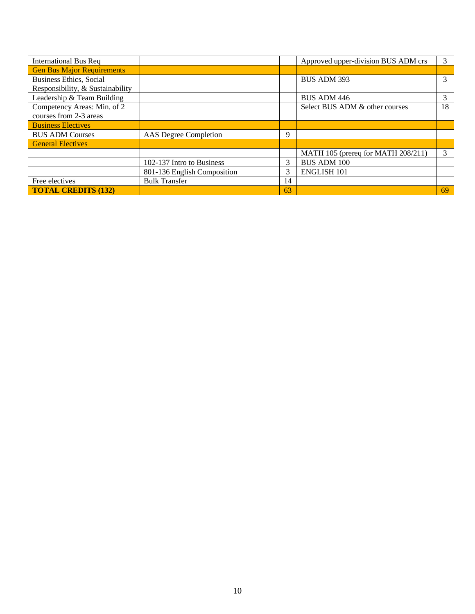| <b>International Bus Req</b>      |                             |    | Approved upper-division BUS ADM crs | 3  |
|-----------------------------------|-----------------------------|----|-------------------------------------|----|
| <b>Gen Bus Major Requirements</b> |                             |    |                                     |    |
| <b>Business Ethics, Social</b>    |                             |    | <b>BUS ADM 393</b>                  | 3  |
| Responsibility, & Sustainability  |                             |    |                                     |    |
| Leadership & Team Building        |                             |    | <b>BUS ADM 446</b>                  | 3  |
| Competency Areas: Min. of 2       |                             |    | Select BUS ADM & other courses      | 18 |
| courses from 2-3 areas            |                             |    |                                     |    |
| <b>Business Electives</b>         |                             |    |                                     |    |
| <b>BUS ADM Courses</b>            | AAS Degree Completion       | Q  |                                     |    |
| <b>General Electives</b>          |                             |    |                                     |    |
|                                   |                             |    | MATH 105 (prereq for MATH 208/211)  | 3  |
|                                   | 102-137 Intro to Business   | 3  | <b>BUS ADM 100</b>                  |    |
|                                   | 801-136 English Composition | 3  | <b>ENGLISH 101</b>                  |    |
| Free electives                    | <b>Bulk Transfer</b>        | 14 |                                     |    |
| <b>TOTAL CREDITS (132)</b>        |                             | 63 |                                     | 69 |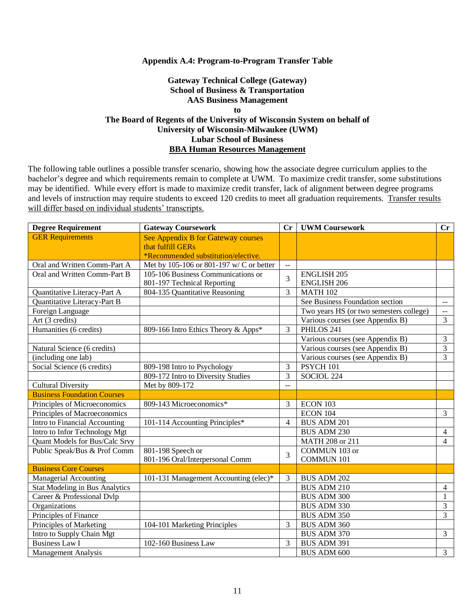#### **Appendix A.4: Program-to-Program Transfer Table**

### **Gateway Technical College (Gateway) School of Business & Transportation AAS Business Management to The Board of Regents of the University of Wisconsin System on behalf of University of Wisconsin-Milwaukee (UWM) Lubar School of Business BBA Human Resources Management**

| <b>Degree Requirement</b>             | <b>Gateway Coursework</b>                | Cr             | <b>UWM Coursework</b>                   | Cr             |
|---------------------------------------|------------------------------------------|----------------|-----------------------------------------|----------------|
| <b>GER Requirements</b>               | See Appendix B for Gateway courses       |                |                                         |                |
|                                       | that fulfill GERs                        |                |                                         |                |
|                                       | *Recommended substitution/elective.      |                |                                         |                |
| Oral and Written Comm-Part A          | Met by 105-106 or 801-197 w/ C or better | $\sim$ $\sim$  |                                         |                |
| Oral and Written Comm-Part B          | 105-106 Business Communications or       | 3              | <b>ENGLISH 205</b>                      |                |
|                                       | 801-197 Technical Reporting              |                | <b>ENGLISH 206</b>                      |                |
| Quantitative Literacy-Part A          | 804-135 Quantitative Reasoning           | 3              | <b>MATH 102</b>                         |                |
| Quantitative Literacy-Part B          |                                          |                | See Business Foundation section         | $\sim$ $\sim$  |
| Foreign Language                      |                                          |                | Two years HS (or two semesters college) | $\sim$ $\sim$  |
| Art (3 credits)                       |                                          |                | Various courses (see Appendix B)        | $\overline{3}$ |
| Humanities (6 credits)                | 809-166 Intro Ethics Theory & Apps*      | 3              | PHILOS 241                              |                |
|                                       |                                          |                | Various courses (see Appendix B)        | 3              |
| Natural Science (6 credits)           |                                          |                | Various courses (see Appendix B)        | 3              |
| (including one lab)                   |                                          |                | Various courses (see Appendix B)        | $\overline{3}$ |
| Social Science (6 credits)            | 809-198 Intro to Psychology              | 3              | PSYCH 101                               |                |
|                                       | 809-172 Intro to Diversity Studies       | 3              | SOCIOL 224                              |                |
| <b>Cultural Diversity</b>             | Met by 809-172                           | $\overline{a}$ |                                         |                |
| <b>Business Foundation Courses</b>    |                                          |                |                                         |                |
| Principles of Microeconomics          | 809-143 Microeconomics*                  | 3              | ECON 103                                |                |
| Principles of Macroeconomics          |                                          |                | ECON 104                                | $\overline{3}$ |
| Intro to Financial Accounting         | 101-114 Accounting Principles*           | $\overline{4}$ | <b>BUS ADM 201</b>                      |                |
| Intro to Infor Technology Mgt         |                                          |                | <b>BUS ADM 230</b>                      | $\overline{4}$ |
| Quant Models for Bus/Calc Srvy        |                                          |                | MATH 208 or 211                         | $\overline{4}$ |
| Public Speak/Bus & Prof Comm          | 801-198 Speech or                        | 3              | COMMUN 103 or                           |                |
|                                       | 801-196 Oral/Interpersonal Comm          |                | <b>COMMUN 101</b>                       |                |
| <b>Business Core Courses</b>          |                                          |                |                                         |                |
| <b>Managerial Accounting</b>          | 101-131 Management Accounting (elec)*    | 3              | <b>BUS ADM 202</b>                      |                |
| <b>Stat Modeling in Bus Analytics</b> |                                          |                | <b>BUS ADM 210</b>                      | 4              |
| Career & Professional Dvlp            |                                          |                | <b>BUS ADM 300</b>                      | 1              |
| Organizations                         |                                          |                | <b>BUS ADM 330</b>                      | 3              |
| Principles of Finance                 |                                          |                | <b>BUS ADM 350</b>                      | 3              |
| Principles of Marketing               | 104-101 Marketing Principles             | 3              | <b>BUS ADM 360</b>                      |                |
| Intro to Supply Chain Mgt             |                                          |                | <b>BUS ADM 370</b>                      | $\overline{3}$ |
| <b>Business Law I</b>                 | 102-160 Business Law                     | 3              | <b>BUS ADM 391</b>                      |                |
| <b>Management Analysis</b>            |                                          |                | <b>BUS ADM 600</b>                      | $\overline{3}$ |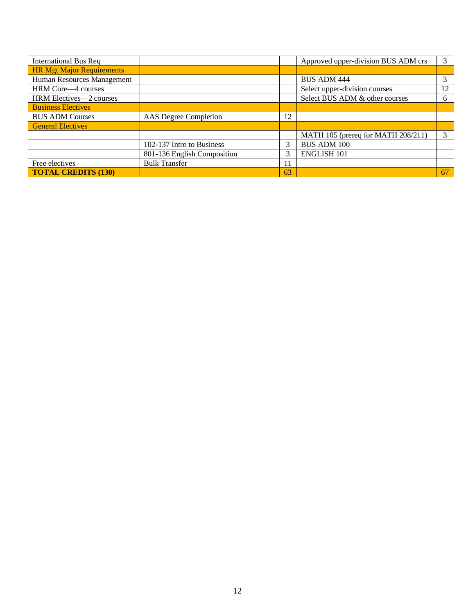| <b>International Bus Req</b>     |                             |    | Approved upper-division BUS ADM crs | 3  |
|----------------------------------|-----------------------------|----|-------------------------------------|----|
| <b>HR Mgt Major Requirements</b> |                             |    |                                     |    |
| Human Resources Management       |                             |    | <b>BUS ADM 444</b>                  |    |
| HRM Core—4 courses               |                             |    | Select upper-division courses       | 12 |
| HRM Electives-2 courses          |                             |    | Select BUS ADM & other courses      | 6  |
| <b>Business Electives</b>        |                             |    |                                     |    |
| <b>BUS ADM Courses</b>           | AAS Degree Completion       | 12 |                                     |    |
| <b>General Electives</b>         |                             |    |                                     |    |
|                                  |                             |    | MATH 105 (prereq for MATH 208/211)  | 3  |
|                                  | 102-137 Intro to Business   | 3  | <b>BUS ADM 100</b>                  |    |
|                                  | 801-136 English Composition | 3  | <b>ENGLISH 101</b>                  |    |
| Free electives                   | <b>Bulk Transfer</b>        | 11 |                                     |    |
| <b>TOTAL CREDITS (130)</b>       |                             | 63 |                                     | 67 |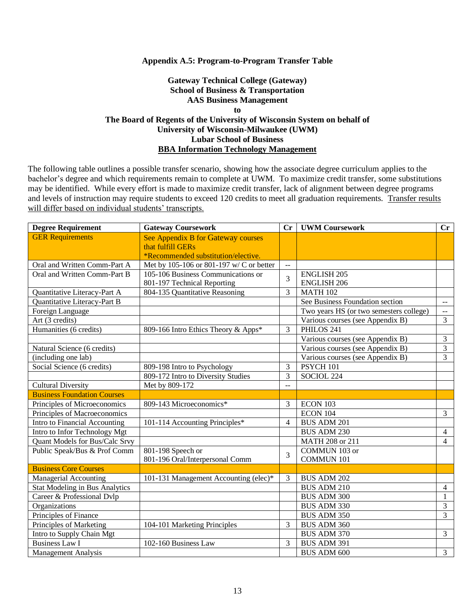#### **Appendix A.5: Program-to-Program Transfer Table**

### **Gateway Technical College (Gateway) School of Business & Transportation AAS Business Management to The Board of Regents of the University of Wisconsin System on behalf of University of Wisconsin-Milwaukee (UWM) Lubar School of Business BBA Information Technology Management**

| <b>Degree Requirement</b>             | <b>Gateway Coursework</b>                | Cr                       | <b>UWM Coursework</b>                   | Cr                      |
|---------------------------------------|------------------------------------------|--------------------------|-----------------------------------------|-------------------------|
| <b>GER Requirements</b>               | See Appendix B for Gateway courses       |                          |                                         |                         |
|                                       | that fulfill GERs                        |                          |                                         |                         |
|                                       | *Recommended substitution/elective.      |                          |                                         |                         |
| Oral and Written Comm-Part A          | Met by 105-106 or 801-197 w/ C or better | $\mathbb{L}$ .           |                                         |                         |
| Oral and Written Comm-Part B          | 105-106 Business Communications or       | 3                        | <b>ENGLISH 205</b>                      |                         |
|                                       | 801-197 Technical Reporting              |                          | <b>ENGLISH 206</b>                      |                         |
| Quantitative Literacy-Part A          | 804-135 Quantitative Reasoning           | 3                        | <b>MATH 102</b>                         |                         |
| Quantitative Literacy-Part B          |                                          |                          | See Business Foundation section         | $\sim$ $-$              |
| Foreign Language                      |                                          |                          | Two years HS (or two semesters college) | $\mathbb{L} \mathbb{L}$ |
| Art (3 credits)                       |                                          |                          | Various courses (see Appendix B)        | $\overline{3}$          |
| Humanities (6 credits)                | 809-166 Intro Ethics Theory & Apps*      | 3                        | PHILOS 241                              |                         |
|                                       |                                          |                          | Various courses (see Appendix B)        | 3                       |
| Natural Science (6 credits)           |                                          |                          | Various courses (see Appendix B)        | $\overline{3}$          |
| (including one lab)                   |                                          |                          | Various courses (see Appendix B)        | 3                       |
| Social Science (6 credits)            | 809-198 Intro to Psychology              | 3                        | PSYCH 101                               |                         |
|                                       | 809-172 Intro to Diversity Studies       | 3                        | SOCIOL 224                              |                         |
| <b>Cultural Diversity</b>             | Met by 809-172                           | $\sim$                   |                                         |                         |
| <b>Business Foundation Courses</b>    |                                          |                          |                                         |                         |
| Principles of Microeconomics          | 809-143 Microeconomics*                  | 3                        | ECON 103                                |                         |
| Principles of Macroeconomics          |                                          |                          | <b>ECON 104</b>                         | $\overline{3}$          |
| Intro to Financial Accounting         | 101-114 Accounting Principles*           | $\overline{\mathcal{L}}$ | <b>BUS ADM 201</b>                      |                         |
| Intro to Infor Technology Mgt         |                                          |                          | <b>BUS ADM 230</b>                      | $\overline{4}$          |
| Quant Models for Bus/Calc Srvy        |                                          |                          | MATH 208 or 211                         | $\overline{4}$          |
| Public Speak/Bus & Prof Comm          | 801-198 Speech or                        | 3                        | COMMUN 103 or                           |                         |
|                                       | 801-196 Oral/Interpersonal Comm          |                          | <b>COMMUN 101</b>                       |                         |
| <b>Business Core Courses</b>          |                                          |                          |                                         |                         |
| <b>Managerial Accounting</b>          | 101-131 Management Accounting (elec)*    | 3                        | <b>BUS ADM 202</b>                      |                         |
| <b>Stat Modeling in Bus Analytics</b> |                                          |                          | <b>BUS ADM 210</b>                      | $\overline{4}$          |
| Career & Professional Dvlp            |                                          |                          | <b>BUS ADM 300</b>                      | 1                       |
| Organizations                         |                                          |                          | <b>BUS ADM 330</b>                      | $\overline{3}$          |
| Principles of Finance                 |                                          |                          | <b>BUS ADM 350</b>                      | $\overline{3}$          |
| Principles of Marketing               | 104-101 Marketing Principles             | 3                        | BUS ADM 360                             |                         |
| Intro to Supply Chain Mgt             |                                          |                          | BUS ADM 370                             | 3                       |
| <b>Business Law I</b>                 | 102-160 Business Law                     | 3                        | BUS ADM 391                             |                         |
| <b>Management Analysis</b>            |                                          |                          | <b>BUS ADM 600</b>                      | $\overline{3}$          |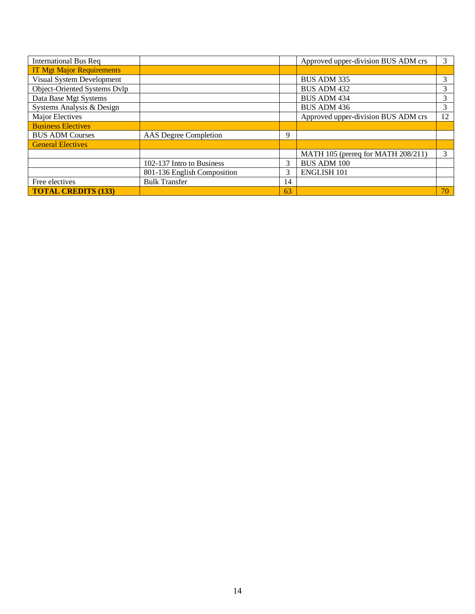| <b>International Bus Req</b>     |                              |    | Approved upper-division BUS ADM crs | 3  |
|----------------------------------|------------------------------|----|-------------------------------------|----|
| <b>IT Mgt Major Requirements</b> |                              |    |                                     |    |
| Visual System Development        |                              |    | <b>BUS ADM 335</b>                  | 3  |
| Object-Oriented Systems Dvlp     |                              |    | <b>BUS ADM 432</b>                  | 3  |
| Data Base Mgt Systems            |                              |    | <b>BUS ADM 434</b>                  | 3  |
| Systems Analysis & Design        |                              |    | <b>BUS ADM 436</b>                  | 3  |
| Major Electives                  |                              |    | Approved upper-division BUS ADM crs | 12 |
| <b>Business Electives</b>        |                              |    |                                     |    |
| <b>BUS ADM Courses</b>           | <b>AAS</b> Degree Completion | 9  |                                     |    |
| <b>General Electives</b>         |                              |    |                                     |    |
|                                  |                              |    | MATH 105 (prereq for MATH 208/211)  | 3  |
|                                  | 102-137 Intro to Business    | 3  | <b>BUS ADM 100</b>                  |    |
|                                  | 801-136 English Composition  | 3  | <b>ENGLISH 101</b>                  |    |
| Free electives                   | <b>Bulk Transfer</b>         | 14 |                                     |    |
| <b>TOTAL CREDITS (133)</b>       |                              | 63 |                                     | 70 |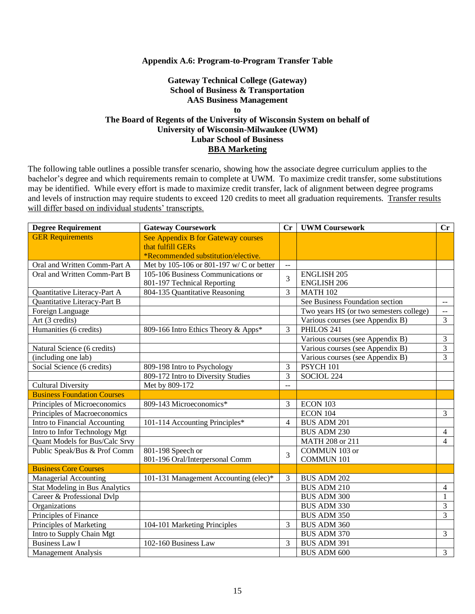#### **Appendix A.6: Program-to-Program Transfer Table**

### **Gateway Technical College (Gateway) School of Business & Transportation AAS Business Management to The Board of Regents of the University of Wisconsin System on behalf of University of Wisconsin-Milwaukee (UWM) Lubar School of Business BBA Marketing**

| <b>Degree Requirement</b>             | <b>Gateway Coursework</b>                | $\mathbf{C}$ r | <b>UWM Coursework</b>                   | Cr             |
|---------------------------------------|------------------------------------------|----------------|-----------------------------------------|----------------|
| <b>GER Requirements</b>               | See Appendix B for Gateway courses       |                |                                         |                |
|                                       | that fulfill GERs                        |                |                                         |                |
|                                       | *Recommended substitution/elective.      |                |                                         |                |
| Oral and Written Comm-Part A          | Met by 105-106 or 801-197 w/ C or better | $\mathbb{L}$ . |                                         |                |
| Oral and Written Comm-Part B          | 105-106 Business Communications or       | 3              | <b>ENGLISH 205</b>                      |                |
|                                       | 801-197 Technical Reporting              |                | <b>ENGLISH 206</b>                      |                |
| Quantitative Literacy-Part A          | 804-135 Quantitative Reasoning           | 3              | <b>MATH 102</b>                         |                |
| Quantitative Literacy-Part B          |                                          |                | See Business Foundation section         | $\sim$ $\sim$  |
| Foreign Language                      |                                          |                | Two years HS (or two semesters college) | $\sim$ $\sim$  |
| Art (3 credits)                       |                                          |                | Various courses (see Appendix B)        | $\overline{3}$ |
| Humanities (6 credits)                | 809-166 Intro Ethics Theory & Apps*      | 3              | PHILOS 241                              |                |
|                                       |                                          |                | Various courses (see Appendix B)        | 3              |
| Natural Science (6 credits)           |                                          |                | Various courses (see Appendix B)        | $\overline{3}$ |
| (including one lab)                   |                                          |                | Various courses (see Appendix B)        | 3              |
| Social Science (6 credits)            | 809-198 Intro to Psychology              | 3              | PSYCH 101                               |                |
|                                       | 809-172 Intro to Diversity Studies       | $\overline{3}$ | SOCIOL 224                              |                |
| <b>Cultural Diversity</b>             | Met by 809-172                           | $\sim$         |                                         |                |
| <b>Business Foundation Courses</b>    |                                          |                |                                         |                |
| Principles of Microeconomics          | 809-143 Microeconomics*                  | 3              | ECON 103                                |                |
| Principles of Macroeconomics          |                                          |                | <b>ECON 104</b>                         | $\overline{3}$ |
| Intro to Financial Accounting         | 101-114 Accounting Principles*           | $\overline{4}$ | <b>BUS ADM 201</b>                      |                |
| Intro to Infor Technology Mgt         |                                          |                | <b>BUS ADM 230</b>                      | $\overline{4}$ |
| Quant Models for Bus/Calc Srvy        |                                          |                | MATH 208 or 211                         | $\overline{4}$ |
| Public Speak/Bus & Prof Comm          | 801-198 Speech or                        | 3              | COMMUN 103 or                           |                |
|                                       | 801-196 Oral/Interpersonal Comm          |                | <b>COMMUN 101</b>                       |                |
| <b>Business Core Courses</b>          |                                          |                |                                         |                |
| <b>Managerial Accounting</b>          | 101-131 Management Accounting (elec)*    | 3              | <b>BUS ADM 202</b>                      |                |
| <b>Stat Modeling in Bus Analytics</b> |                                          |                | <b>BUS ADM 210</b>                      | $\overline{4}$ |
| Career & Professional Dvlp            |                                          |                | <b>BUS ADM 300</b>                      | 1              |
| Organizations                         |                                          |                | <b>BUS ADM 330</b>                      | 3              |
| Principles of Finance                 |                                          |                | <b>BUS ADM 350</b>                      | $\overline{3}$ |
| Principles of Marketing               | 104-101 Marketing Principles             | 3              | BUS ADM 360                             |                |
| Intro to Supply Chain Mgt             |                                          |                | BUS ADM 370                             | $\overline{3}$ |
| <b>Business Law I</b>                 | 102-160 Business Law                     | 3              | <b>BUS ADM 391</b>                      |                |
| <b>Management Analysis</b>            |                                          |                | <b>BUS ADM 600</b>                      | 3              |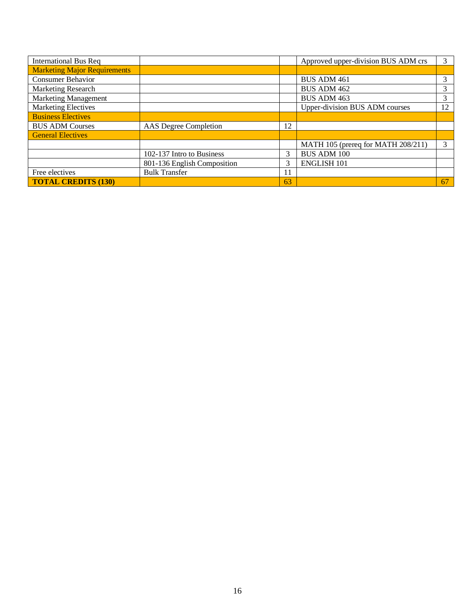| <b>International Bus Req</b>        |                             |    | Approved upper-division BUS ADM crs | 3  |
|-------------------------------------|-----------------------------|----|-------------------------------------|----|
| <b>Marketing Major Requirements</b> |                             |    |                                     |    |
| <b>Consumer Behavior</b>            |                             |    | <b>BUS ADM 461</b>                  | 3  |
| Marketing Research                  |                             |    | <b>BUS ADM 462</b>                  |    |
| <b>Marketing Management</b>         |                             |    | <b>BUS ADM 463</b>                  | 3  |
| <b>Marketing Electives</b>          |                             |    | Upper-division BUS ADM courses      | 12 |
| <b>Business Electives</b>           |                             |    |                                     |    |
| <b>BUS ADM Courses</b>              | AAS Degree Completion       | 12 |                                     |    |
| <b>General Electives</b>            |                             |    |                                     |    |
|                                     |                             |    | MATH 105 (prereq for MATH 208/211)  | 3  |
|                                     | 102-137 Intro to Business   |    | <b>BUS ADM 100</b>                  |    |
|                                     | 801-136 English Composition | 3  | <b>ENGLISH 101</b>                  |    |
| Free electives                      | <b>Bulk Transfer</b>        |    |                                     |    |
| <b>TOTAL CREDITS (130)</b>          |                             | 63 |                                     | 67 |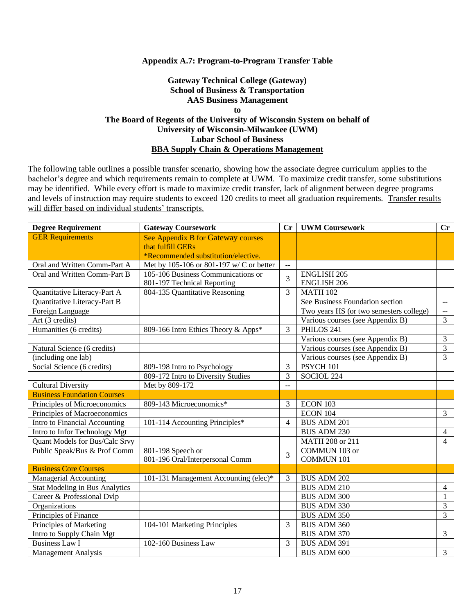#### **Appendix A.7: Program-to-Program Transfer Table**

### **Gateway Technical College (Gateway) School of Business & Transportation AAS Business Management to The Board of Regents of the University of Wisconsin System on behalf of University of Wisconsin-Milwaukee (UWM) Lubar School of Business BBA Supply Chain & Operations Management**

| <b>Degree Requirement</b>             | <b>Gateway Coursework</b>                |                          | <b>UWM Coursework</b>                   | Cr                      |
|---------------------------------------|------------------------------------------|--------------------------|-----------------------------------------|-------------------------|
| <b>GER Requirements</b>               | See Appendix B for Gateway courses       |                          |                                         |                         |
|                                       | that fulfill GERs                        |                          |                                         |                         |
|                                       | *Recommended substitution/elective.      |                          |                                         |                         |
| Oral and Written Comm-Part A          | Met by 105-106 or 801-197 w/ C or better | $\mathbb{L}$ .           |                                         |                         |
| Oral and Written Comm-Part B          | 105-106 Business Communications or       |                          | <b>ENGLISH 205</b>                      |                         |
|                                       | 801-197 Technical Reporting              | 3                        | <b>ENGLISH 206</b>                      |                         |
| Quantitative Literacy-Part A          | 804-135 Quantitative Reasoning           | 3                        | <b>MATH 102</b>                         |                         |
| Quantitative Literacy-Part B          |                                          |                          | See Business Foundation section         | $\sim$ $-$              |
| Foreign Language                      |                                          |                          | Two years HS (or two semesters college) | $\mathbb{L} \mathbb{L}$ |
| Art (3 credits)                       |                                          |                          | Various courses (see Appendix B)        | $\overline{3}$          |
| Humanities (6 credits)                | 809-166 Intro Ethics Theory & Apps*      | 3                        | PHILOS 241                              |                         |
|                                       |                                          |                          | Various courses (see Appendix B)        | 3                       |
| Natural Science (6 credits)           |                                          |                          | Various courses (see Appendix B)        | $\overline{3}$          |
| (including one lab)                   |                                          |                          | Various courses (see Appendix B)        | 3                       |
| Social Science (6 credits)            | 809-198 Intro to Psychology              | 3                        | PSYCH 101                               |                         |
|                                       | 809-172 Intro to Diversity Studies       | 3                        | SOCIOL 224                              |                         |
| <b>Cultural Diversity</b>             | Met by 809-172                           | $\sim$                   |                                         |                         |
| <b>Business Foundation Courses</b>    |                                          |                          |                                         |                         |
| Principles of Microeconomics          | 809-143 Microeconomics*                  | 3                        | ECON 103                                |                         |
| Principles of Macroeconomics          |                                          |                          | <b>ECON 104</b>                         | $\overline{3}$          |
| Intro to Financial Accounting         | 101-114 Accounting Principles*           | $\overline{\mathcal{L}}$ | <b>BUS ADM 201</b>                      |                         |
| Intro to Infor Technology Mgt         |                                          |                          | <b>BUS ADM 230</b>                      | $\overline{4}$          |
| Quant Models for Bus/Calc Srvy        |                                          |                          | MATH 208 or 211                         | $\overline{4}$          |
| Public Speak/Bus & Prof Comm          | 801-198 Speech or                        | 3                        | COMMUN 103 or                           |                         |
|                                       | 801-196 Oral/Interpersonal Comm          |                          | <b>COMMUN 101</b>                       |                         |
| <b>Business Core Courses</b>          |                                          |                          |                                         |                         |
| <b>Managerial Accounting</b>          | 101-131 Management Accounting (elec)*    | 3                        | <b>BUS ADM 202</b>                      |                         |
| <b>Stat Modeling in Bus Analytics</b> |                                          |                          | <b>BUS ADM 210</b>                      | $\overline{4}$          |
| Career & Professional Dvlp            |                                          |                          | <b>BUS ADM 300</b>                      | 1                       |
| Organizations                         |                                          |                          | <b>BUS ADM 330</b>                      | $\overline{3}$          |
| Principles of Finance                 |                                          |                          | <b>BUS ADM 350</b>                      | $\overline{3}$          |
| Principles of Marketing               | 104-101 Marketing Principles             |                          | BUS ADM 360                             |                         |
| Intro to Supply Chain Mgt             |                                          |                          | BUS ADM 370                             | 3                       |
| <b>Business Law I</b>                 | 102-160 Business Law                     | 3                        | BUS ADM 391                             |                         |
| <b>Management Analysis</b>            |                                          |                          | <b>BUS ADM 600</b>                      | $\overline{3}$          |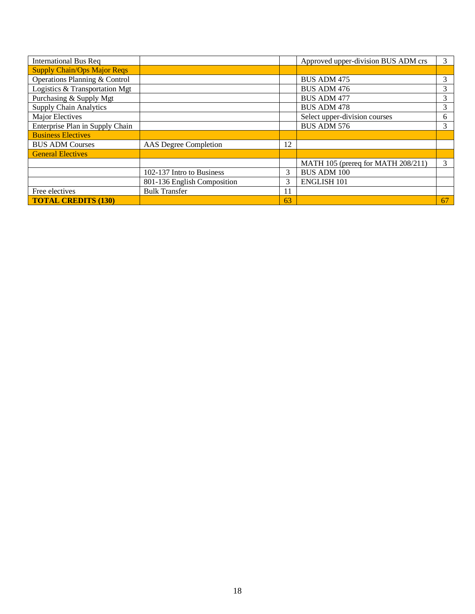| <b>International Bus Req</b>       |                             |    | Approved upper-division BUS ADM crs | 3  |
|------------------------------------|-----------------------------|----|-------------------------------------|----|
| <b>Supply Chain/Ops Major Reqs</b> |                             |    |                                     |    |
| Operations Planning & Control      |                             |    | <b>BUS ADM 475</b>                  | 3  |
| Logistics & Transportation Mgt     |                             |    | <b>BUS ADM 476</b>                  | 3  |
| Purchasing & Supply Mgt            |                             |    | <b>BUS ADM 477</b>                  | 3  |
| <b>Supply Chain Analytics</b>      |                             |    | <b>BUS ADM 478</b>                  | 3  |
| Major Electives                    |                             |    | Select upper-division courses       | 6  |
| Enterprise Plan in Supply Chain    |                             |    | <b>BUS ADM 576</b>                  | 3  |
| <b>Business Electives</b>          |                             |    |                                     |    |
| <b>BUS ADM Courses</b>             | AAS Degree Completion       | 12 |                                     |    |
| <b>General Electives</b>           |                             |    |                                     |    |
|                                    |                             |    | MATH 105 (prereq for MATH 208/211)  | 3  |
|                                    | 102-137 Intro to Business   |    | <b>BUS ADM 100</b>                  |    |
|                                    | 801-136 English Composition | 3  | <b>ENGLISH 101</b>                  |    |
| Free electives                     | <b>Bulk Transfer</b>        | 11 |                                     |    |
| <b>TOTAL CREDITS (130)</b>         |                             | 63 |                                     | 67 |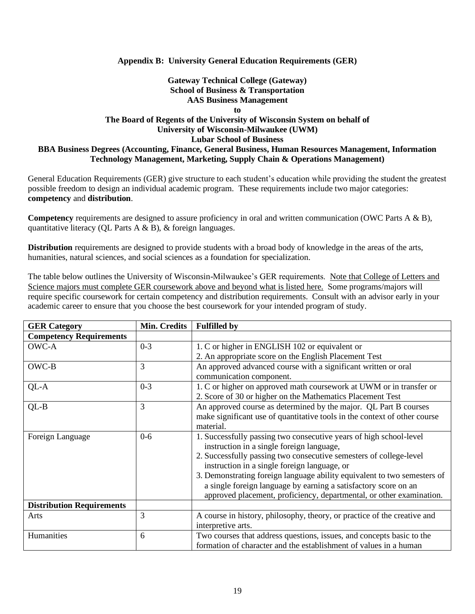### **Appendix B: University General Education Requirements (GER)**

## **Gateway Technical College (Gateway) School of Business & Transportation AAS Business Management**

**to**

### **The Board of Regents of the University of Wisconsin System on behalf of University of Wisconsin-Milwaukee (UWM) Lubar School of Business BBA Business Degrees (Accounting, Finance, General Business, Human Resources Management, Information Technology Management, Marketing, Supply Chain & Operations Management)**

General Education Requirements (GER) give structure to each student's education while providing the student the greatest possible freedom to design an individual academic program. These requirements include two major categories: **competency** and **distribution**.

**Competency** requirements are designed to assure proficiency in oral and written communication (OWC Parts A & B), quantitative literacy (QL Parts A & B), & foreign languages.

**Distribution** requirements are designed to provide students with a broad body of knowledge in the areas of the arts, humanities, natural sciences, and social sciences as a foundation for specialization.

The table below outlines the University of Wisconsin-Milwaukee's GER requirements. Note that College of Letters and Science majors must complete GER coursework above and beyond what is listed here. Some programs/majors will require specific coursework for certain competency and distribution requirements. Consult with an advisor early in your academic career to ensure that you choose the best coursework for your intended program of study.

| <b>GER Category</b>              | Min. Credits | <b>Fulfilled by</b>                                                                        |
|----------------------------------|--------------|--------------------------------------------------------------------------------------------|
| <b>Competency Requirements</b>   |              |                                                                                            |
| OWC-A                            | $0 - 3$      | 1. C or higher in ENGLISH 102 or equivalent or                                             |
|                                  |              | 2. An appropriate score on the English Placement Test                                      |
| OWC-B                            | 3            | An approved advanced course with a significant written or oral<br>communication component. |
| QL-A                             | $0 - 3$      | 1. C or higher on approved math coursework at UWM or in transfer or                        |
|                                  |              | 2. Score of 30 or higher on the Mathematics Placement Test                                 |
| $QL-B$                           | 3            | An approved course as determined by the major. QL Part B courses                           |
|                                  |              | make significant use of quantitative tools in the context of other course                  |
|                                  |              | material.                                                                                  |
| Foreign Language                 | $0-6$        | 1. Successfully passing two consecutive years of high school-level                         |
|                                  |              | instruction in a single foreign language,                                                  |
|                                  |              | 2. Successfully passing two consecutive semesters of college-level                         |
|                                  |              | instruction in a single foreign language, or                                               |
|                                  |              | 3. Demonstrating foreign language ability equivalent to two semesters of                   |
|                                  |              | a single foreign language by earning a satisfactory score on an                            |
|                                  |              | approved placement, proficiency, departmental, or other examination.                       |
| <b>Distribution Requirements</b> |              |                                                                                            |
| Arts                             | 3            | A course in history, philosophy, theory, or practice of the creative and                   |
|                                  |              | interpretive arts.                                                                         |
| Humanities                       | 6            | Two courses that address questions, issues, and concepts basic to the                      |
|                                  |              | formation of character and the establishment of values in a human                          |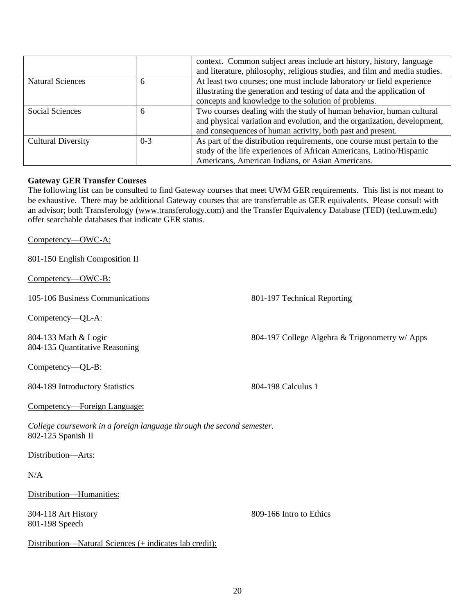|                           |         | context. Common subject areas include art history, history, language<br>and literature, philosophy, religious studies, and film and media studies. |
|---------------------------|---------|----------------------------------------------------------------------------------------------------------------------------------------------------|
| <b>Natural Sciences</b>   | 6       | At least two courses; one must include laboratory or field experience                                                                              |
|                           |         | illustrating the generation and testing of data and the application of                                                                             |
|                           |         | concepts and knowledge to the solution of problems.                                                                                                |
| Social Sciences           | 6       | Two courses dealing with the study of human behavior, human cultural                                                                               |
|                           |         | and physical variation and evolution, and the organization, development,                                                                           |
|                           |         | and consequences of human activity, both past and present.                                                                                         |
| <b>Cultural Diversity</b> | $0 - 3$ | As part of the distribution requirements, one course must pertain to the                                                                           |
|                           |         | study of the life experiences of African Americans, Latino/Hispanic                                                                                |
|                           |         | Americans, American Indians, or Asian Americans.                                                                                                   |

#### **Gateway GER Transfer Courses**

The following list can be consulted to find Gateway courses that meet UWM GER requirements. This list is not meant to be exhaustive. There may be additional Gateway courses that are transferrable as GER equivalents. Please consult with an advisor; both Transferology (www.transferology.com) and the Transfer Equivalency Database (TED) (ted.uwm.edu) offer searchable databases that indicate GER status.

Competency—OWC-A:

801-150 English Composition II

Competency—OWC-B:

105-106 Business Communications 801-197 Technical Reporting

Competency—QL-A:

804-133 Math & Logic 804-135 Quantitative Reasoning

Competency—QL-B:

804-189 Introductory Statistics 804-198 Calculus 1

Competency—Foreign Language:

*College coursework in a foreign language through the second semester.* 802-125 Spanish II

Distribution—Arts:

 $N/A$ 

Distribution—Humanities:

304-118 Art History 801-198 Speech

809-166 Intro to Ethics

Distribution—Natural Sciences (+ indicates lab credit):

20

804-197 College Algebra & Trigonometry w/ Apps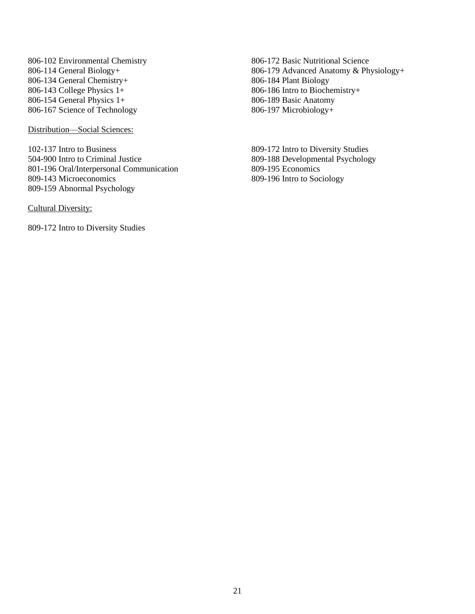806-102 Environmental Chemistry 806-114 General Biology+ 806-134 General Chemistry+ 806-143 College Physics 1+ 806-154 General Physics 1+ 806-167 Science of Technology

Distribution—Social Sciences:

102-137 Intro to Business 504-900 Intro to Criminal Justice 801-196 Oral/Interpersonal Communication 809-143 Microeconomics 809-159 Abnormal Psychology

Cultural Diversity:

809-172 Intro to Diversity Studies

806-172 Basic Nutritional Science 806-179 Advanced Anatomy & Physiology+ 806-184 Plant Biology 806-186 Intro to Biochemistry+ 806-189 Basic Anatomy 806-197 Microbiology+

809-172 Intro to Diversity Studies 809-188 Developmental Psychology 809-195 Economics 809-196 Intro to Sociology